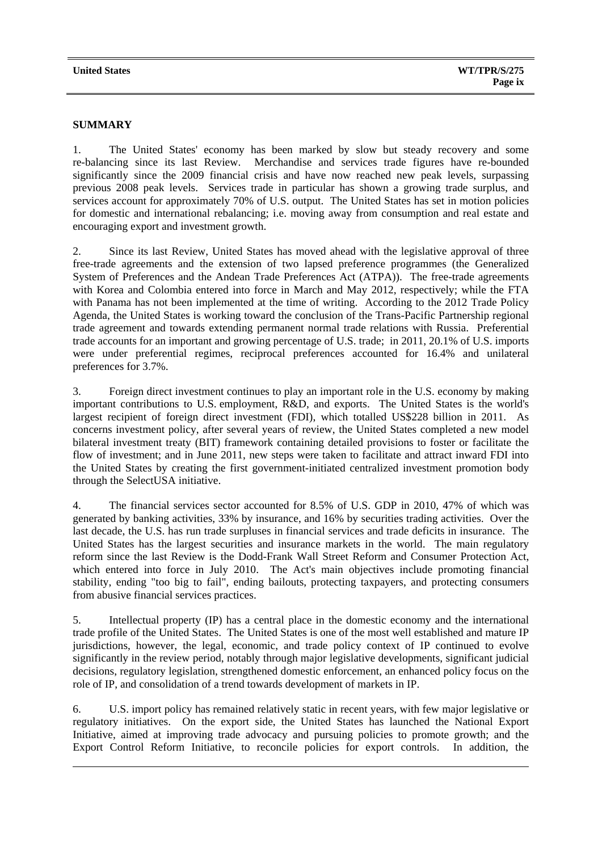## **SUMMARY**

1. The United States' economy has been marked by slow but steady recovery and some re-balancing since its last Review. Merchandise and services trade figures have re-bounded significantly since the 2009 financial crisis and have now reached new peak levels, surpassing previous 2008 peak levels. Services trade in particular has shown a growing trade surplus, and services account for approximately 70% of U.S. output. The United States has set in motion policies for domestic and international rebalancing; i.e. moving away from consumption and real estate and encouraging export and investment growth.

2. Since its last Review, United States has moved ahead with the legislative approval of three free-trade agreements and the extension of two lapsed preference programmes (the Generalized System of Preferences and the Andean Trade Preferences Act (ATPA)). The free-trade agreements with Korea and Colombia entered into force in March and May 2012, respectively; while the FTA with Panama has not been implemented at the time of writing. According to the 2012 Trade Policy Agenda, the United States is working toward the conclusion of the Trans-Pacific Partnership regional trade agreement and towards extending permanent normal trade relations with Russia. Preferential trade accounts for an important and growing percentage of U.S. trade; in 2011, 20.1% of U.S. imports were under preferential regimes, reciprocal preferences accounted for 16.4% and unilateral preferences for 3.7%.

3. Foreign direct investment continues to play an important role in the U.S. economy by making important contributions to U.S. employment, R&D, and exports. The United States is the world's largest recipient of foreign direct investment (FDI), which totalled US\$228 billion in 2011. As concerns investment policy, after several years of review, the United States completed a new model bilateral investment treaty (BIT) framework containing detailed provisions to foster or facilitate the flow of investment; and in June 2011, new steps were taken to facilitate and attract inward FDI into the United States by creating the first government-initiated centralized investment promotion body through the SelectUSA initiative.

4. The financial services sector accounted for 8.5% of U.S. GDP in 2010, 47% of which was generated by banking activities, 33% by insurance, and 16% by securities trading activities. Over the last decade, the U.S. has run trade surpluses in financial services and trade deficits in insurance. The United States has the largest securities and insurance markets in the world. The main regulatory reform since the last Review is the Dodd-Frank Wall Street Reform and Consumer Protection Act, which entered into force in July 2010. The Act's main objectives include promoting financial stability, ending "too big to fail", ending bailouts, protecting taxpayers, and protecting consumers from abusive financial services practices.

5. Intellectual property (IP) has a central place in the domestic economy and the international trade profile of the United States. The United States is one of the most well established and mature IP jurisdictions, however, the legal, economic, and trade policy context of IP continued to evolve significantly in the review period, notably through major legislative developments, significant judicial decisions, regulatory legislation, strengthened domestic enforcement, an enhanced policy focus on the role of IP, and consolidation of a trend towards development of markets in IP.

6. U.S. import policy has remained relatively static in recent years, with few major legislative or regulatory initiatives. On the export side, the United States has launched the National Export Initiative, aimed at improving trade advocacy and pursuing policies to promote growth; and the Export Control Reform Initiative, to reconcile policies for export controls. In addition, the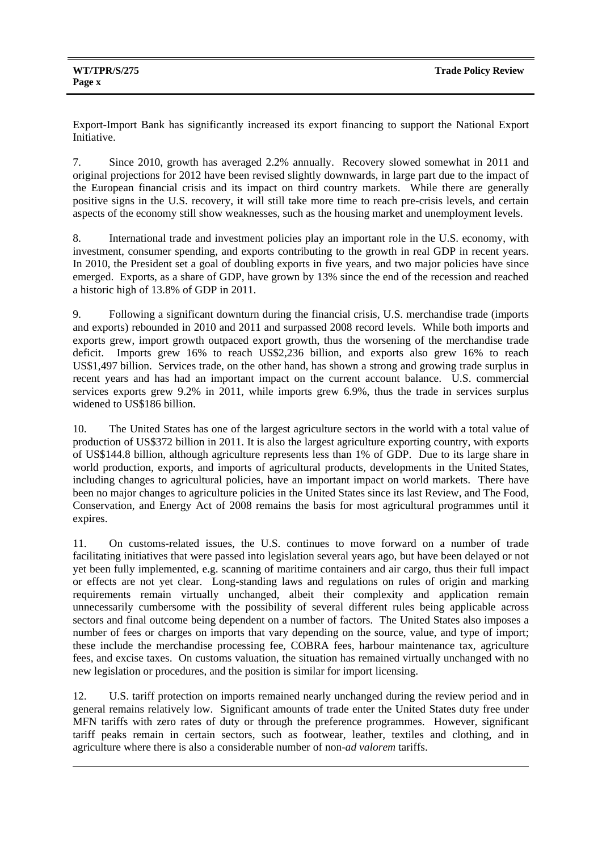Export-Import Bank has significantly increased its export financing to support the National Export Initiative.

7. Since 2010, growth has averaged 2.2% annually. Recovery slowed somewhat in 2011 and original projections for 2012 have been revised slightly downwards, in large part due to the impact of the European financial crisis and its impact on third country markets. While there are generally positive signs in the U.S. recovery, it will still take more time to reach pre-crisis levels, and certain aspects of the economy still show weaknesses, such as the housing market and unemployment levels.

8. International trade and investment policies play an important role in the U.S. economy, with investment, consumer spending, and exports contributing to the growth in real GDP in recent years. In 2010, the President set a goal of doubling exports in five years, and two major policies have since emerged. Exports, as a share of GDP, have grown by 13% since the end of the recession and reached a historic high of 13.8% of GDP in 2011.

9. Following a significant downturn during the financial crisis, U.S. merchandise trade (imports and exports) rebounded in 2010 and 2011 and surpassed 2008 record levels. While both imports and exports grew, import growth outpaced export growth, thus the worsening of the merchandise trade deficit. Imports grew 16% to reach US\$2,236 billion, and exports also grew 16% to reach US\$1,497 billion. Services trade, on the other hand, has shown a strong and growing trade surplus in recent years and has had an important impact on the current account balance. U.S. commercial services exports grew 9.2% in 2011, while imports grew 6.9%, thus the trade in services surplus widened to US\$186 billion.

10. The United States has one of the largest agriculture sectors in the world with a total value of production of US\$372 billion in 2011. It is also the largest agriculture exporting country, with exports of US\$144.8 billion, although agriculture represents less than 1% of GDP. Due to its large share in world production, exports, and imports of agricultural products, developments in the United States, including changes to agricultural policies, have an important impact on world markets. There have been no major changes to agriculture policies in the United States since its last Review, and The Food, Conservation, and Energy Act of 2008 remains the basis for most agricultural programmes until it expires.

11. On customs-related issues, the U.S. continues to move forward on a number of trade facilitating initiatives that were passed into legislation several years ago, but have been delayed or not yet been fully implemented, e.g. scanning of maritime containers and air cargo, thus their full impact or effects are not yet clear. Long-standing laws and regulations on rules of origin and marking requirements remain virtually unchanged, albeit their complexity and application remain unnecessarily cumbersome with the possibility of several different rules being applicable across sectors and final outcome being dependent on a number of factors. The United States also imposes a number of fees or charges on imports that vary depending on the source, value, and type of import; these include the merchandise processing fee, COBRA fees, harbour maintenance tax, agriculture fees, and excise taxes. On customs valuation, the situation has remained virtually unchanged with no new legislation or procedures, and the position is similar for import licensing.

12. U.S. tariff protection on imports remained nearly unchanged during the review period and in general remains relatively low. Significant amounts of trade enter the United States duty free under MFN tariffs with zero rates of duty or through the preference programmes. However, significant tariff peaks remain in certain sectors, such as footwear, leather, textiles and clothing, and in agriculture where there is also a considerable number of non-*ad valorem* tariffs.